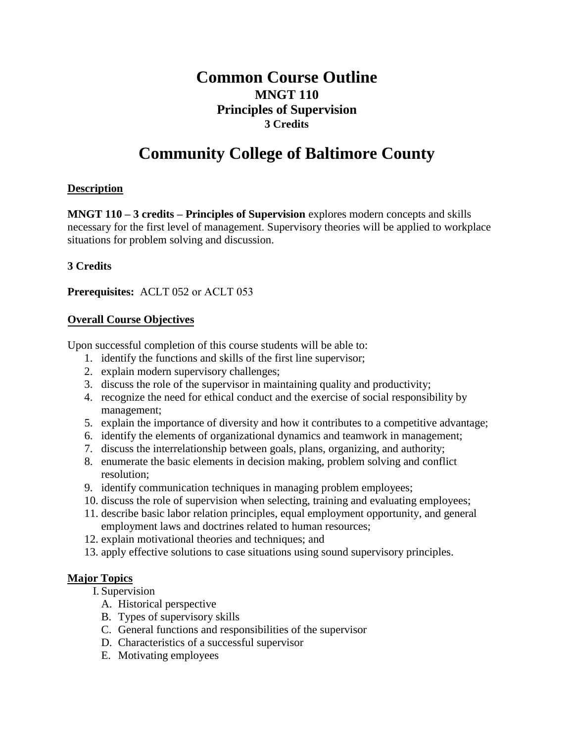# **Common Course Outline MNGT 110 Principles of Supervision 3 Credits**

# **Community College of Baltimore County**

# **Description**

**MNGT 110 – 3 credits – Principles of Supervision** explores modern concepts and skills necessary for the first level of management. Supervisory theories will be applied to workplace situations for problem solving and discussion.

# **3 Credits**

**Prerequisites:** ACLT 052 or ACLT 053

#### **Overall Course Objectives**

Upon successful completion of this course students will be able to:

- 1. identify the functions and skills of the first line supervisor;
- 2. explain modern supervisory challenges;
- 3. discuss the role of the supervisor in maintaining quality and productivity;
- 4. recognize the need for ethical conduct and the exercise of social responsibility by management;
- 5. explain the importance of diversity and how it contributes to a competitive advantage;
- 6. identify the elements of organizational dynamics and teamwork in management;
- 7. discuss the interrelationship between goals, plans, organizing, and authority;
- 8. enumerate the basic elements in decision making, problem solving and conflict resolution;
- 9. identify communication techniques in managing problem employees;
- 10. discuss the role of supervision when selecting, training and evaluating employees;
- 11. describe basic labor relation principles, equal employment opportunity, and general employment laws and doctrines related to human resources;
- 12. explain motivational theories and techniques; and
- 13. apply effective solutions to case situations using sound supervisory principles.

# **Major Topics**

I. Supervision

- A. Historical perspective
- B. Types of supervisory skills
- C. General functions and responsibilities of the supervisor
- D. Characteristics of a successful supervisor
- E. Motivating employees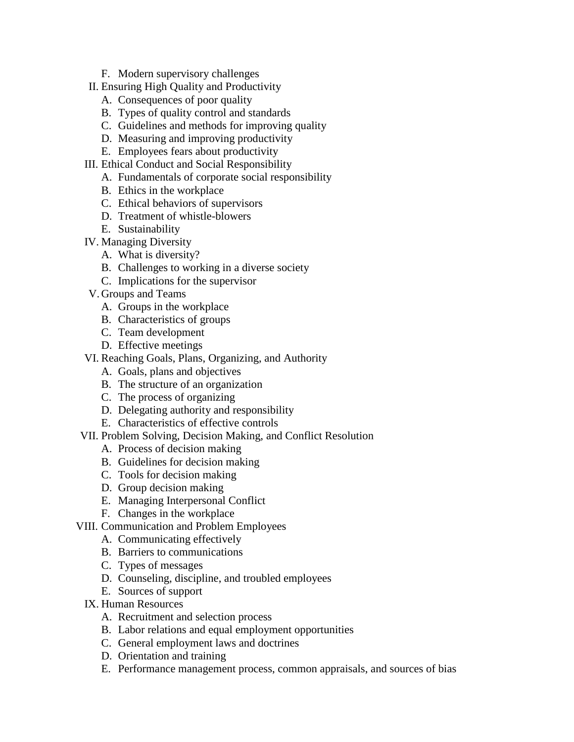- F. Modern supervisory challenges
- II. Ensuring High Quality and Productivity
	- A. Consequences of poor quality
	- B. Types of quality control and standards
	- C. Guidelines and methods for improving quality
	- D. Measuring and improving productivity
	- E. Employees fears about productivity
- III. Ethical Conduct and Social Responsibility
	- A. Fundamentals of corporate social responsibility
	- B. Ethics in the workplace
	- C. Ethical behaviors of supervisors
	- D. Treatment of whistle-blowers
	- E. Sustainability
- IV. Managing Diversity
	- A. What is diversity?
	- B. Challenges to working in a diverse society
	- C. Implications for the supervisor
- V. Groups and Teams
	- A. Groups in the workplace
	- B. Characteristics of groups
	- C. Team development
	- D. Effective meetings
- VI. Reaching Goals, Plans, Organizing, and Authority
	- A. Goals, plans and objectives
	- B. The structure of an organization
	- C. The process of organizing
	- D. Delegating authority and responsibility
	- E. Characteristics of effective controls
- VII. Problem Solving, Decision Making, and Conflict Resolution
	- A. Process of decision making
	- B. Guidelines for decision making
	- C. Tools for decision making
	- D. Group decision making
	- E. Managing Interpersonal Conflict
	- F. Changes in the workplace
- VIII. Communication and Problem Employees
	- A. Communicating effectively
	- B. Barriers to communications
	- C. Types of messages
	- D. Counseling, discipline, and troubled employees
	- E. Sources of support
	- IX. Human Resources
		- A. Recruitment and selection process
		- B. Labor relations and equal employment opportunities
		- C. General employment laws and doctrines
		- D. Orientation and training
		- E. Performance management process, common appraisals, and sources of bias